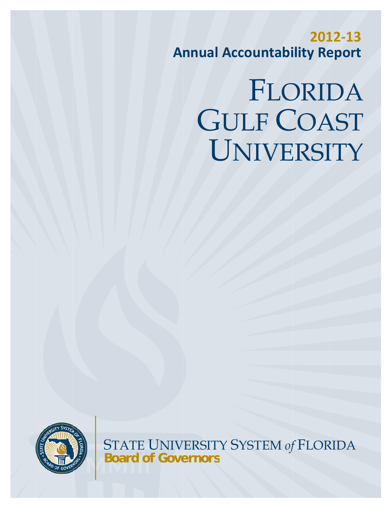# GULF COAST UNIVERSITY FLORIDA



STATE UNIVERSITY SYSTEM of FLORIDA **Board of Governors**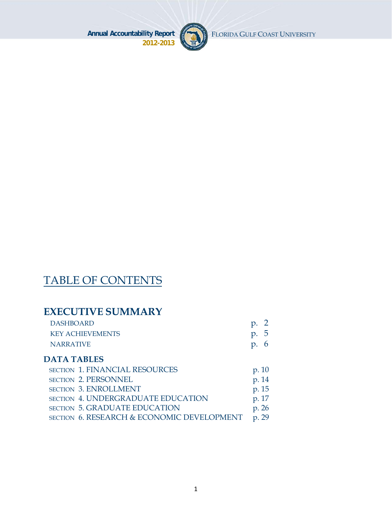

FLORIDA GULF COAST UNIVERSITY

# TABLE OF CONTENTS

# **EXECUTIVE SUMMARY**

| <b>DASHBOARD</b>        | $\mathfrak{p}$ . |
|-------------------------|------------------|
| <b>KEY ACHIEVEMENTS</b> | p.5              |
| <b>NARRATIVE</b>        | p.6              |

### **DATA TABLES**

| <b>SECTION 1. FINANCIAL RESOURCES</b>      | p. 10 |
|--------------------------------------------|-------|
| <b>SECTION 2. PERSONNEL</b>                | p. 14 |
| <b>SECTION 3. ENROLLMENT</b>               | p. 15 |
| <b>SECTION 4. UNDERGRADUATE EDUCATION</b>  | p. 17 |
| <b>SECTION 5. GRADUATE EDUCATION</b>       | p. 26 |
| SECTION 6. RESEARCH & ECONOMIC DEVELOPMENT | p. 29 |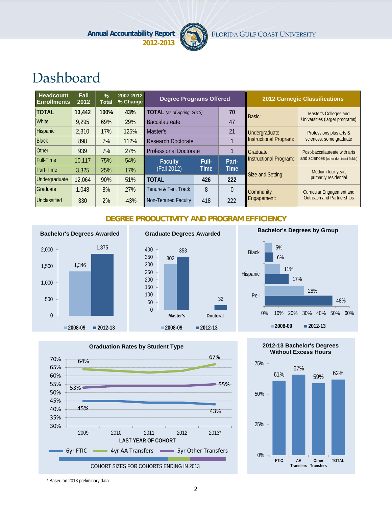

# Dashboard

| <b>Headcount</b><br><b>Enrollments</b> | Fall<br>2012 | $\frac{0}{2}$<br><b>Total</b> | 2007-2012<br>% Change | <b>Degree Programs Offered</b>   |                               |             |                               | <b>2012 Carnegie Classifications</b> |
|----------------------------------------|--------------|-------------------------------|-----------------------|----------------------------------|-------------------------------|-------------|-------------------------------|--------------------------------------|
| <b>TOTAL</b>                           | 13,442       | 100%                          | 43%                   | <b>TOTAL</b> (as of Spring 2013) |                               | 70          | Basic:                        | Master's Colleges and                |
| <b>White</b>                           | 9,295        | 69%                           | 29%                   | <b>Baccalaureate</b>             | 47                            |             |                               | Universities (larger programs)       |
| <b>Hispanic</b>                        | 2,310        | 17%                           | 125%                  | 21<br>Master's                   |                               |             | Undergraduate                 | Professions plus arts &              |
| <b>Black</b>                           | 898          | 7%                            | 112%                  | <b>Research Doctorate</b>        |                               |             | <b>Instructional Program:</b> | sciences, some graduate              |
| Other                                  | 939          | 7%                            | 27%                   |                                  | <b>Professional Doctorate</b> |             | <b>Graduate</b>               | Post-baccalaureate with arts         |
| <b>Full-Time</b>                       | 10,117       | 75%                           | 54%                   | <b>Faculty</b>                   | Full-                         | Part-       | Instructional Program:        | and sciences (other dominant fields) |
| Part-Time                              | 3,325        | 25%                           | 17%                   | (Fall 2012)                      | Time                          | <b>Time</b> | Size and Setting:             | Medium four-year,                    |
| Undergraduate                          | 12,064       | 90%                           | 51%                   | <b>TOTAL</b>                     | 426                           | 222         |                               | primarily residential                |
| Graduate                               | 1,048        | 8%                            | 27%                   | Tenure & Ten. Track              | 8                             | $\theta$    | Community                     | <b>Curricular Engagement and</b>     |
| Unclassified                           | 330          | 2%                            | $-43%$                | Non-Tenured Faculty              | 418                           | 222         | Engagement:                   | <b>Outreach and Partnerships</b>     |

#### **DEGREE PRODUCTIVITY AND PROGRAM EFFICIENCY**



#### **Graduate Degrees Awarded**









**FTIC AA**

**Transfers Transfers Other**

**TOTAL**

0%

2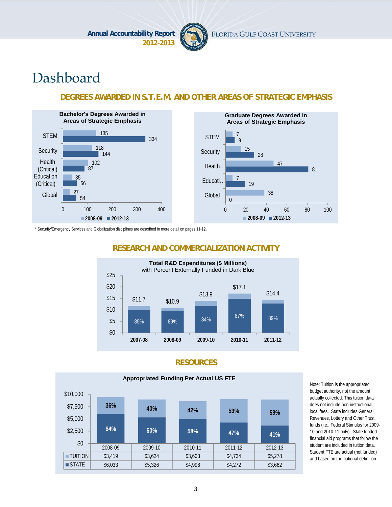

# Dashboard

#### **DEGREES AWARDED IN S.T.E.M. AND OTHER AREAS OF STRATEGIC EMPHASIS**





\* Security/Emergency Services and Globalization disciplines are described in more detail on pages 11-12.



#### **RESEARCH AND COMMERCIALIZATION ACTIVITY**

#### **RESOURCES**



Note: Tuition is the appropriated budget authority, not the amount actually collected. This tuition data does not include non-instructional local fees. State includes General Revenues, Lottery and Other Trust funds (i.e., Federal Stimulus for 2009- 10 and 2010-11 only). State funded financial aid programs that follow the student are included in tuition data. Student FTE are actual (not funded) and based on the national definition.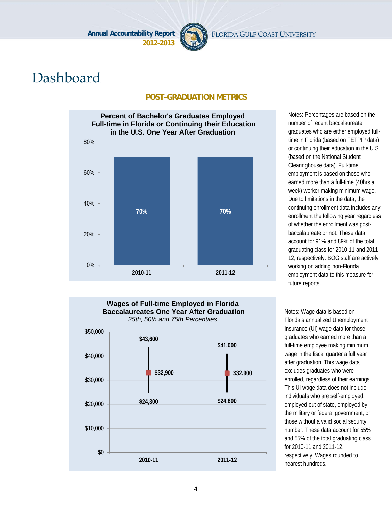

# Dashboard

#### **POST-GRADUATION METRICS**



**\$41,000 2010-11 2011-12 Wages of Full-time Employed in Florida Baccalaureates One Year After Graduation** Notes: Wage data is based on Florida's annualized Unemployment Insurance (UI) wage data for those graduates who earned more than a full-time employee making minimum wage in the fiscal quarter a full year after graduation. This wage data excludes graduates who were enrolled, regardless of their earnings. This UI wage data does not include individuals who are self-employed, employed out of state, employed by the military or federal government, or those without a valid social security number. These data account for 55% and 55% of the total graduating class for 2010-11 and 2011-12, respectively. Wages rounded to future reports.

nearest hundreds.



\$0

number of recent baccalaureate graduates who are either employed fulltime in Florida (based on FETPIP data) or continuing their education in the U.S. (based on the National Student Clearinghouse data). Full-time employment is based on those who earned more than a full-time (40hrs a week) worker making minimum wage. Due to limitations in the data, the continuing enrollment data includes any enrollment the following year regardless of whether the enrollment was postbaccalaureate or not. These data account for 91% and 89% of the total graduating class for 2010-11 and 2011- 12, respectively. BOG staff are actively working on adding non-Florida employment data to this measure for

Notes: Percentages are based on the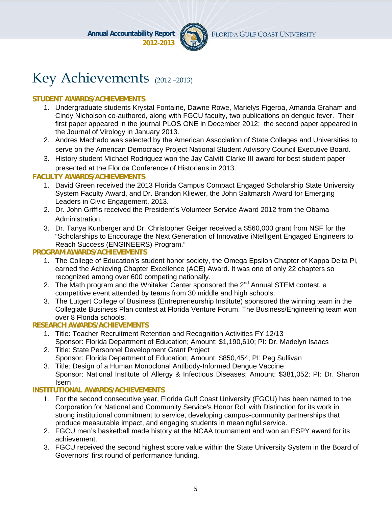

# Key Achievements (2012 –2013)

#### **STUDENT AWARDS/ACHIEVEMENTS**

- 1. Undergraduate students Krystal Fontaine, Dawne Rowe, Marielys Figeroa, Amanda Graham and Cindy Nicholson co-authored, along with FGCU faculty, two publications on dengue fever. Their first paper appeared in the journal PLOS ONE in December 2012; the second paper appeared in the Journal of Virology in January 2013.
- 2. Andres Machado was selected by the American Association of State Colleges and Universities to serve on the American Democracy Project National Student Advisory Council Executive Board.
- 3. History student Michael Rodriguez won the Jay Calvitt Clarke III award for best student paper presented at the Florida Conference of Historians in 2013.

#### **FACULTY AWARDS/ACHIEVEMENTS**

- 1. David Green received the 2013 Florida Campus Compact Engaged Scholarship State University System Faculty Award, and Dr. Brandon Kliewer, the John Saltmarsh Award for Emerging Leaders in Civic Engagement, 2013.
- 2. Dr. John Griffis received the President's Volunteer Service Award 2012 from the Obama Administration.
- 3. Dr. Tanya Kunberger and Dr. Christopher Geiger received a \$560,000 grant from NSF for the "Scholarships to Encourage the Next Generation of Innovative iNtelligent Engaged Engineers to Reach Success (ENGINEERS) Program."

#### **PROGRAM AWARDS/ACHIEVEMENTS**

- 1. The College of Education's student honor society, the Omega Epsilon Chapter of Kappa Delta Pi, earned the Achieving Chapter Excellence (ACE) Award. It was one of only 22 chapters so recognized among over 600 competing nationally.
- 2. The Math program and the Whitaker Center sponsored the  $2^{nd}$  Annual STEM contest, a competitive event attended by teams from 30 middle and high schools.
- 3. The Lutgert College of Business (Entrepreneurship Institute) sponsored the winning team in the Collegiate Business Plan contest at Florida Venture Forum. The Business/Engineering team won over 8 Florida schools.

#### **RESEARCH AWARDS/ACHIEVEMENTS**

- 1. Title: Teacher Recruitment Retention and Recognition Activities FY 12/13 Sponsor: Florida Department of Education; Amount: \$1,190,610; PI: Dr. Madelyn Isaacs
- 2. Title: State Personnel Development Grant Project Sponsor: Florida Department of Education; Amount: \$850,454; PI: Peg Sullivan
- 3. Title: Design of a Human Monoclonal Antibody-Informed Dengue Vaccine Sponsor: National Institute of Allergy & Infectious Diseases; Amount: \$381,052; PI: Dr. Sharon **Isern**

#### **INSTITUTIONAL AWARDS/ACHIEVEMENTS**

- 1. For the second consecutive year, Florida Gulf Coast University (FGCU) has been named to the Corporation for National and Community Service's Honor Roll with Distinction for its work in strong institutional commitment to service, developing campus-community partnerships that produce measurable impact, and engaging students in meaningful service.
- 2. FGCU men's basketball made history at the NCAA tournament and won an ESPY award for its achievement.
- 3. FGCU received the second highest score value within the State University System in the Board of Governors' first round of performance funding.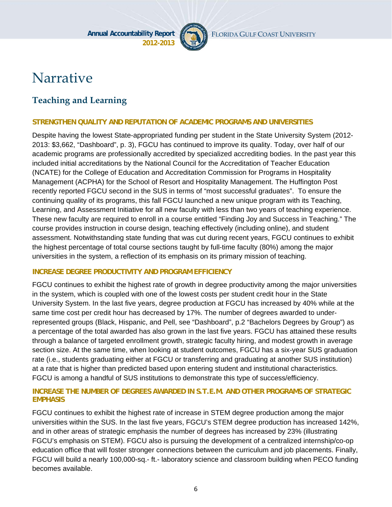

# Narrative

# **Teaching and Learning**

#### **STRENGTHEN QUALITY AND REPUTATION OF ACADEMIC PROGRAMS AND UNIVERSITIES**

Despite having the lowest State-appropriated funding per student in the State University System (2012- 2013: \$3,662, "Dashboard", p. 3), FGCU has continued to improve its quality. Today, over half of our academic programs are professionally accredited by specialized accrediting bodies. In the past year this included initial accreditations by the National Council for the Accreditation of Teacher Education (NCATE) for the College of Education and Accreditation Commission for Programs in Hospitality Management (ACPHA) for the School of Resort and Hospitality Management. The Huffington Post recently reported FGCU second in the SUS in terms of "most successful graduates". To ensure the continuing quality of its programs, this fall FGCU launched a new unique program with its Teaching, Learning, and Assessment Initiative for all new faculty with less than two years of teaching experience. These new faculty are required to enroll in a course entitled "Finding Joy and Success in Teaching." The course provides instruction in course design, teaching effectively (including online), and student assessment. Notwithstanding state funding that was cut during recent years, FGCU continues to exhibit the highest percentage of total course sections taught by full-time faculty (80%) among the major universities in the system, a reflection of its emphasis on its primary mission of teaching.

#### **INCREASE DEGREE PRODUCTIVITY AND PROGRAM EFFICIENCY**

FGCU continues to exhibit the highest rate of growth in degree productivity among the major universities in the system, which is coupled with one of the lowest costs per student credit hour in the State University System. In the last five years, degree production at FGCU has increased by 40% while at the same time cost per credit hour has decreased by 17%. The number of degrees awarded to underrepresented groups (Black, Hispanic, and Pell, see "Dashboard", p.2 "Bachelors Degrees by Group") as a percentage of the total awarded has also grown in the last five years. FGCU has attained these results through a balance of targeted enrollment growth, strategic faculty hiring, and modest growth in average section size. At the same time, when looking at student outcomes, FGCU has a six-year SUS graduation rate (i.e., students graduating either at FGCU or transferring and graduating at another SUS institution) at a rate that is higher than predicted based upon entering student and institutional characteristics. FGCU is among a handful of SUS institutions to demonstrate this type of success/efficiency.

#### **INCREASE THE NUMBER OF DEGREES AWARDED IN S.T.E.M. AND OTHER PROGRAMS OF STRATEGIC EMPHASIS**

FGCU continues to exhibit the highest rate of increase in STEM degree production among the major universities within the SUS. In the last five years, FGCU's STEM degree production has increased 142%, and in other areas of strategic emphasis the number of degrees has increased by 23% (illustrating FGCU's emphasis on STEM). FGCU also is pursuing the development of a centralized internship/co-op education office that will foster stronger connections between the curriculum and job placements. Finally, FGCU will build a nearly 100,000-sq.- ft.- laboratory science and classroom building when PECO funding becomes available.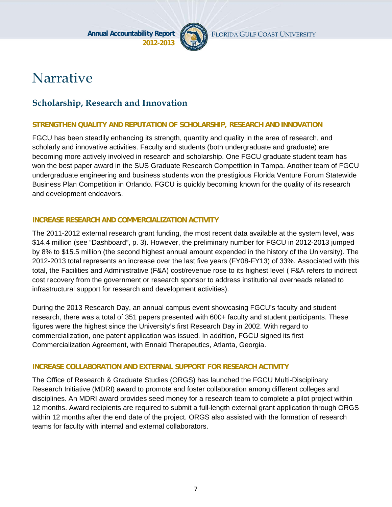

FLORIDA GULF COAST UNIVERSITY

# Narrative

## **Scholarship, Research and Innovation**

#### **STRENGTHEN QUALITY AND REPUTATION OF SCHOLARSHIP, RESEARCH AND INNOVATION**

FGCU has been steadily enhancing its strength, quantity and quality in the area of research, and scholarly and innovative activities. Faculty and students (both undergraduate and graduate) are becoming more actively involved in research and scholarship. One FGCU graduate student team has won the best paper award in the SUS Graduate Research Competition in Tampa. Another team of FGCU undergraduate engineering and business students won the prestigious Florida Venture Forum Statewide Business Plan Competition in Orlando. FGCU is quickly becoming known for the quality of its research and development endeavors.

#### **INCREASE RESEARCH AND COMMERCIALIZATION ACTIVITY**

The 2011-2012 external research grant funding, the most recent data available at the system level, was \$14.4 million (see "Dashboard", p. 3). However, the preliminary number for FGCU in 2012-2013 jumped by 8% to \$15.5 million (the second highest annual amount expended in the history of the University). The 2012-2013 total represents an increase over the last five years (FY08-FY13) of 33%. Associated with this total, the Facilities and Administrative (F&A) cost/revenue rose to its highest level ( F&A refers to indirect cost recovery from the government or research sponsor to address institutional overheads related to infrastructural support for research and development activities).

During the 2013 Research Day, an annual campus event showcasing FGCU's faculty and student research, there was a total of 351 papers presented with 600+ faculty and student participants. These figures were the highest since the University's first Research Day in 2002. With regard to commercialization, one patent application was issued. In addition, FGCU signed its first Commercialization Agreement, with Ennaid Therapeutics, Atlanta, Georgia.

#### **INCREASE COLLABORATION AND EXTERNAL SUPPORT FOR RESEARCH ACTIVITY**

The Office of Research & Graduate Studies (ORGS) has launched the FGCU Multi-Disciplinary Research Initiative (MDRI) award to promote and foster collaboration among different colleges and disciplines. An MDRI award provides seed money for a research team to complete a pilot project within 12 months. Award recipients are required to submit a full-length external grant application through ORGS within 12 months after the end date of the project. ORGS also assisted with the formation of research teams for faculty with internal and external collaborators.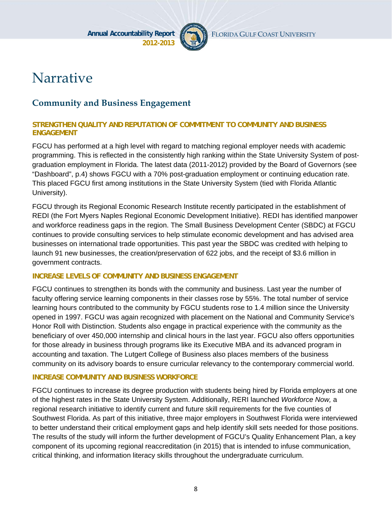

# Narrative

### **Community and Business Engagement**

#### **STRENGTHEN QUALITY AND REPUTATION OF COMMITMENT TO COMMUNITY AND BUSINESS ENGAGEMENT**

FGCU has performed at a high level with regard to matching regional employer needs with academic programming. This is reflected in the consistently high ranking within the State University System of postgraduation employment in Florida. The latest data (2011-2012) provided by the Board of Governors (see "Dashboard", p.4) shows FGCU with a 70% post-graduation employment or continuing education rate. This placed FGCU first among institutions in the State University System (tied with Florida Atlantic University).

FGCU through its Regional Economic Research Institute recently participated in the establishment of REDI (the Fort Myers Naples Regional Economic Development Initiative). REDI has identified manpower and workforce readiness gaps in the region. The Small Business Development Center (SBDC) at FGCU continues to provide consulting services to help stimulate economic development and has advised area businesses on international trade opportunities. This past year the SBDC was credited with helping to launch 91 new businesses, the creation/preservation of 622 jobs, and the receipt of \$3.6 million in government contracts.

#### **INCREASE LEVELS OF COMMUNITY AND BUSINESS ENGAGEMENT**

FGCU continues to strengthen its bonds with the community and business. Last year the number of faculty offering service learning components in their classes rose by 55%. The total number of service learning hours contributed to the community by FGCU students rose to 1.4 million since the University opened in 1997. FGCU was again recognized with placement on the National and Community Service's Honor Roll with Distinction. Students also engage in practical experience with the community as the beneficiary of over 450,000 internship and clinical hours in the last year. FGCU also offers opportunities for those already in business through programs like its Executive MBA and its advanced program in accounting and taxation. The Lutgert College of Business also places members of the business community on its advisory boards to ensure curricular relevancy to the contemporary commercial world.

#### **INCREASE COMMUNITY AND BUSINESS WORKFORCE**

FGCU continues to increase its degree production with students being hired by Florida employers at one of the highest rates in the State University System. Additionally, RERI launched *Workforce Now,* a regional research initiative to identify current and future skill requirements for the five counties of Southwest Florida. As part of this initiative, three major employers in Southwest Florida were interviewed to better understand their critical employment gaps and help identify skill sets needed for those positions. The results of the study will inform the further development of FGCU's Quality Enhancement Plan, a key component of its upcoming regional reaccreditation (in 2015) that is intended to infuse communication, critical thinking, and information literacy skills throughout the undergraduate curriculum.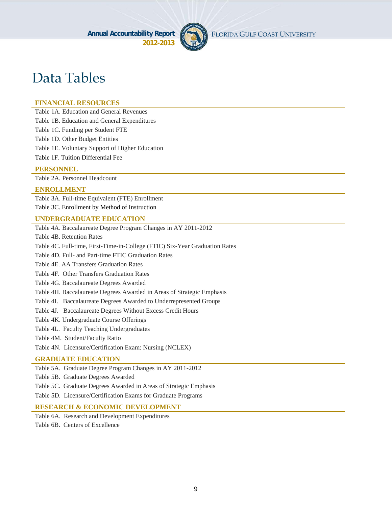

# Data Tables

#### **FINANCIAL RESOURCES**

Table 1A. Education and General Revenues

Table 1B. Education and General Expenditures

Table 1C. Funding per Student FTE

Table 1D. Other Budget Entities

Table 1E. Voluntary Support of Higher Education

Table 1F. Tuition Differential Fee

#### **PERSONNEL**

Table 2A. Personnel Headcount

#### **ENROLLMENT**

Table 3A. Full-time Equivalent (FTE) Enrollment Table 3C. Enrollment by Method of Instruction

#### **UNDERGRADUATE EDUCATION**

Table 4A. Baccalaureate Degree Program Changes in AY 2011-2012

Table 4B. Retention Rates

Table 4C. Full-time, First-Time-in-College (FTIC) Six-Year Graduation Rates

Table 4D. Full- and Part-time FTIC Graduation Rates

Table 4E. AA Transfers Graduation Rates

Table 4F. Other Transfers Graduation Rates

Table 4G. Baccalaureate Degrees Awarded

Table 4H. Baccalaureate Degrees Awarded in Areas of Strategic Emphasis

Table 4I. Baccalaureate Degrees Awarded to Underrepresented Groups

Table 4J. Baccalaureate Degrees Without Excess Credit Hours

Table 4K. Undergraduate Course Offerings

Table 4L. Faculty Teaching Undergraduates

Table 4M. Student/Faculty Ratio

Table 4N. Licensure/Certification Exam: Nursing (NCLEX)

#### **GRADUATE EDUCATION**

Table 5A. Graduate Degree Program Changes in AY 2011-2012

Table 5B. Graduate Degrees Awarded

Table 5C. Graduate Degrees Awarded in Areas of Strategic Emphasis

Table 5D. Licensure/Certification Exams for Graduate Programs

#### **RESEARCH & ECONOMIC DEVELOPMENT**

Table 6A. Research and Development Expenditures

Table 6B. Centers of Excellence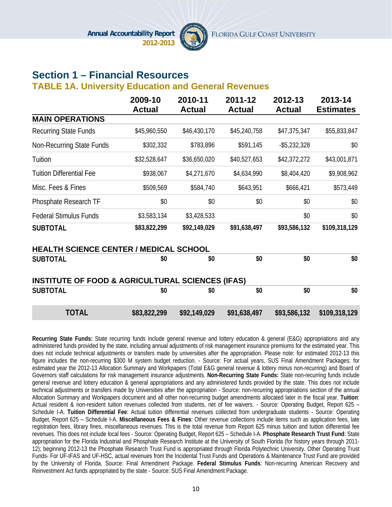

# **Section 1 – Financial Resources**

#### **TABLE 1A. University Education and General Revenues**

|                                                             | 2009-10<br><b>Actual</b> | 2010-11<br><b>Actual</b> | 2011-12<br><b>Actual</b> | 2012-13<br><b>Actual</b> | 2013-14<br><b>Estimates</b> |
|-------------------------------------------------------------|--------------------------|--------------------------|--------------------------|--------------------------|-----------------------------|
| <b>MAIN OPERATIONS</b>                                      |                          |                          |                          |                          |                             |
| <b>Recurring State Funds</b>                                | \$45,960,550             | \$46,430,170             | \$45,240,758             | \$47,375,347             | \$55,833,847                |
| <b>Non-Recurring State Funds</b>                            | \$302,332                | \$783,896                | \$591,145                | $-$ \$5,232,328          | \$0                         |
| Tuition                                                     | \$32,528,647             | \$36,650,020             | \$40,527,653             | \$42,372,272             | \$43,001,871                |
| <b>Tuition Differential Fee</b>                             | \$938,067                | \$4,271,670              | \$4,634,990              | \$8,404,420              | \$9,908,962                 |
| Misc. Fees & Fines                                          | \$509,569                | \$584,740                | \$643,951                | \$666,421                | \$573,449                   |
| Phosphate Research TF                                       | \$0                      | \$0                      | \$0                      | \$0                      | \$0                         |
| <b>Federal Stimulus Funds</b>                               | \$3,583,134              | \$3,428,533              |                          | \$0                      | \$0                         |
| <b>SUBTOTAL</b>                                             | \$83,822,299             | \$92,149,029             | \$91,638,497             | \$93,586,132             | \$109,318,129               |
| <b>HEALTH SCIENCE CENTER / MEDICAL SCHOOL</b>               |                          |                          |                          |                          |                             |
| <b>SUBTOTAL</b>                                             | \$0                      | \$0                      | \$0                      | \$0                      | \$0                         |
| <b>INSTITUTE OF FOOD &amp; AGRICULTURAL SCIENCES (IFAS)</b> |                          |                          |                          |                          |                             |
| <b>SUBTOTAL</b>                                             | \$0                      | \$0                      | \$0                      | \$0                      | \$0                         |
| <b>TOTAL</b>                                                | \$83,822,299             | \$92,149,029             | \$91,638,497             | \$93,586,132             | \$109,318,129               |

**Recurring State Funds:** State recurring funds include general revenue and lottery education & general (E&G) appropriations and any administered funds provided by the state, including annual adjustments of risk management insurance premiums for the estimated year. This does not include technical adjustments or transfers made by universities after the appropriation. Please note: for estimated 2012-13 this figure includes the non-recurring \$300 M system budget reduction. - Source: For actual years, SUS Final Amendment Packages; for estimated year the 2012-13 Allocation Summary and Workpapers (Total E&G general revenue & lottery minus non-recurring) and Board of Governors staff calculations for risk management insurance adjustments. **Non-Recurring State Funds:** State non-recurring funds include general revenue and lottery education & general appropriations and any administered funds provided by the state. This does not include technical adjustments or transfers made by Universities after the appropriation - Source: non-recurring appropriations section of the annual Allocation Summary and Workpapers document and all other non-recurring budget amendments allocated later in the fiscal year. **Tuition**: Actual resident & non-resident tuition revenues collected from students, net of fee waivers. - Source: Operating Budget, Report 625 – Schedule I-A. **Tuition Differential Fee**: Actual tuition differential revenues collected from undergraduate students - Source: Operating Budget, Report 625 – Schedule I-A. **Miscellaneous Fees & Fines**: Other revenue collections include items such as application fees, late registration fees, library fines, miscellaneous revenues. This is the total revenue from Report 625 minus tuition and tuition differential fee revenues. This does not include local fees - Source: Operating Budget, Report 625 – Schedule I-A. **Phosphate Research Trust Fund**: State appropriation for the Florida Industrial and Phosphate Research Institute at the University of South Florida (for history years through 2011- 12); beginning 2012-13 the Phosphate Research Trust Fund is appropriated through Florida Polytechnic University. Other Operating Trust Funds- For UF-IFAS and UF-HSC, actual revenues from the Incidental Trust Funds and Operations & Maintenance Trust Fund are provided by the University of Florida. Source: Final Amendment Package. **Federal Stimulus Funds**: Non-recurring American Recovery and Reinvestment Act funds appropriated by the state - Source: SUS Final Amendment Package.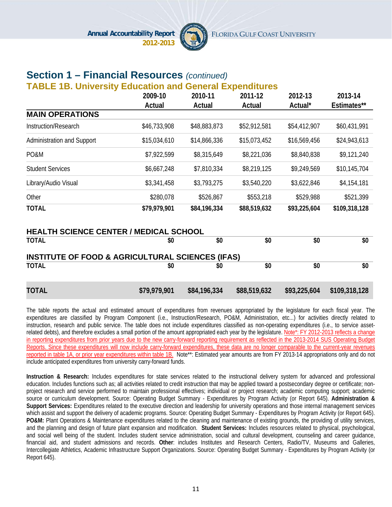

# **Section 1 – Financial Resources** *(continued)*

#### **TABLE 1B. University Education and General Expenditures**

|                            | 2009-10      | 2010-11      | 2011-12      | 2012-13      | 2013-14       |
|----------------------------|--------------|--------------|--------------|--------------|---------------|
|                            | Actual       | Actual       | Actual       | Actual*      | Estimates**   |
| <b>MAIN OPERATIONS</b>     |              |              |              |              |               |
| Instruction/Research       | \$46,733,908 | \$48,883,873 | \$52,912,581 | \$54,412,907 | \$60,431,991  |
| Administration and Support | \$15,034,610 | \$14,866,336 | \$15,073,452 | \$16,569,456 | \$24,943,613  |
| PO&M                       | \$7,922,599  | \$8,315,649  | \$8,221,036  | \$8,840,838  | \$9,121,240   |
| <b>Student Services</b>    | \$6,667,248  | \$7,810,334  | \$8,219,125  | \$9,249,569  | \$10,145,704  |
| Library/Audio Visual       | \$3,341,458  | \$3,793,275  | \$3,540,220  | \$3,622,846  | \$4,154,181   |
| Other                      | \$280,078    | \$526,867    | \$553,218    | \$529,988    | \$521,399     |
| <b>TOTAL</b>               | \$79,979,901 | \$84,196,334 | \$88,519,632 | \$93,225,604 | \$109,318,128 |

|              | <b>HEALTH SCIENCE CENTER / MEDICAL SCHOOL</b>               |              |              |              |               |
|--------------|-------------------------------------------------------------|--------------|--------------|--------------|---------------|
| <b>TOTAL</b> | \$0                                                         | \$0          | \$0          | \$0          | \$0           |
|              | <b>INSTITUTE OF FOOD &amp; AGRICULTURAL SCIENCES (IFAS)</b> |              |              |              |               |
| <b>TOTAL</b> | \$0                                                         | \$0          | \$0          | \$0          | \$0           |
|              |                                                             |              |              |              |               |
| TOTAL        | \$79,979,901                                                | \$84,196,334 | \$88,519,632 | \$93,225,604 | \$109,318,128 |

The table reports the actual and estimated amount of expenditures from revenues appropriated by the legislature for each fiscal year. The expenditures are classified by Program Component (i.e., Instruction/Research, PO&M, Administration, etc...) for activities directly related to instruction, research and public service. The table does not include expenditures classified as non-operating expenditures (i.e., to service assetrelated debts), and therefore excludes a small portion of the amount appropriated each year by the legislature. Note\*: FY 2012-2013 reflects a change in reporting expenditures from prior years due to the new carry-forward reporting requirement as reflected in the 2013-2014 SUS Operating Budget Reports. Since these expenditures will now include carry-forward expenditures, these data are no longer comparable to the current-year revenues reported in table 1A, or prior year expenditures within table 1B. Note\*\*: Estimated year amounts are from FY 2013-14 appropriations only and do not include anticipated expenditures from university carry-forward funds.

**Instruction & Research:** Includes expenditures for state services related to the instructional delivery system for advanced and professional education. Includes functions such as; all activities related to credit instruction that may be applied toward a postsecondary degree or certificate; nonproject research and service performed to maintain professional effectives; individual or project research; academic computing support; academic source or curriculum development. Source: Operating Budget Summary - Expenditures by Program Activity (or Report 645). **Administration & Support Services:** Expenditures related to the executive direction and leadership for university operations and those internal management services which assist and support the delivery of academic programs. Source: Operating Budget Summary - Expenditures by Program Activity (or Report 645). **PO&M:** Plant Operations & Maintenance expenditures related to the cleaning and maintenance of existing grounds, the providing of utility services, and the planning and design of future plant expansion and modification. **Student Services:** Includes resources related to physical, psychological, and social well being of the student. Includes student service administration, social and cultural development, counseling and career guidance, financial aid, and student admissions and records. **Other**: includes Institutes and Research Centers, Radio/TV, Museums and Galleries, Intercollegiate Athletics, Academic Infrastructure Support Organizations. Source: Operating Budget Summary - Expenditures by Program Activity (or Report 645).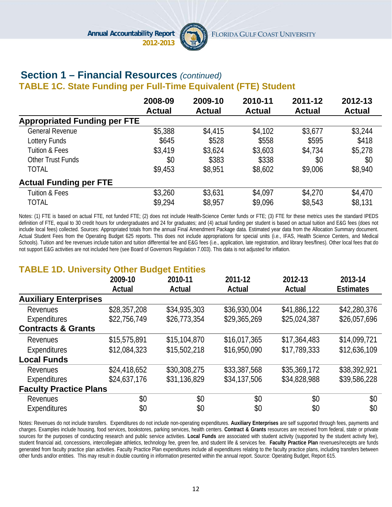

#### **Section 1 – Financial Resources** *(continued)*  **TABLE 1C. State Funding per Full-Time Equivalent (FTE) Student**

|                                     | 2008-09       | 2009-10       | 2010-11       | 2011-12       | 2012-13       |
|-------------------------------------|---------------|---------------|---------------|---------------|---------------|
| <b>Appropriated Funding per FTE</b> | <b>Actual</b> | <b>Actual</b> | <b>Actual</b> | <b>Actual</b> | <b>Actual</b> |
|                                     |               |               |               |               |               |
| <b>General Revenue</b>              | \$5,388       | \$4,415       | \$4,102       | \$3,677       | \$3,244       |
| Lottery Funds                       | \$645         | \$528         | \$558         | \$595         | \$418         |
| <b>Tuition &amp; Fees</b>           | \$3,419       | \$3,624       | \$3,603       | \$4,734       | \$5,278       |
| Other Trust Funds                   | \$0           | \$383         | \$338         | \$0           | \$0           |
| <b>TOTAL</b>                        | \$9,453       | \$8,951       | \$8,602       | \$9,006       | \$8,940       |
| <b>Actual Funding per FTE</b>       |               |               |               |               |               |
| <b>Tuition &amp; Fees</b>           | \$3,260       | \$3,631       | \$4,097       | \$4,270       | \$4,470       |
| <b>TOTAL</b>                        | \$9,294       | \$8,957       | \$9,096       | \$8,543       | \$8,131       |

Notes: (1) FTE is based on actual FTE, not funded FTE; (2) does not include Health-Science Center funds or FTE; (3) FTE for these metrics uses the standard IPEDS definition of FTE, equal to 30 credit hours for undergraduates and 24 for graduates; and (4) actual funding per student is based on actual tuition and E&G fees (does not include local fees) collected. Sources: Appropriated totals from the annual Final Amendment Package data. Estimated year data from the Allocation Summary document. Actual Student Fees from the Operating Budget 625 reports. This does not include appropriations for special units (i.e., IFAS, Health Science Centers, and Medical Schools). Tuition and fee revenues include tuition and tuition differential fee and E&G fees (i.e., application, late registration, and library fees/fines). Other local fees that do not support E&G activities are not included here (see Board of Governors Regulation 7.003). This data is not adjusted for inflation.

### **TABLE 1D. University Other Budget Entities**

| . <i>.</i> . _ _ _ . _ . v.  . v.  . , |              | -----        |              |              |                  |
|----------------------------------------|--------------|--------------|--------------|--------------|------------------|
|                                        | 2009-10      | 2010-11      | 2011-12      | 2012-13      | 2013-14          |
|                                        | Actual       | Actual       | Actual       | Actual       | <b>Estimates</b> |
| <b>Auxiliary Enterprises</b>           |              |              |              |              |                  |
| Revenues                               | \$28,357,208 | \$34,935,303 | \$36,930,004 | \$41,886,122 | \$42,280,376     |
| Expenditures                           | \$22,756,749 | \$26,773,354 | \$29,365,269 | \$25,024,387 | \$26,057,696     |
| <b>Contracts &amp; Grants</b>          |              |              |              |              |                  |
| Revenues                               | \$15,575,891 | \$15,104,870 | \$16,017,365 | \$17,364,483 | \$14,099,721     |
| Expenditures                           | \$12,084,323 | \$15,502,218 | \$16,950,090 | \$17,789,333 | \$12,636,109     |
| <b>Local Funds</b>                     |              |              |              |              |                  |
| Revenues                               | \$24,418,652 | \$30,308,275 | \$33,387,568 | \$35,369,172 | \$38,392,921     |
| Expenditures                           | \$24,637,176 | \$31,136,829 | \$34,137,506 | \$34,828,988 | \$39,586,228     |
| <b>Faculty Practice Plans</b>          |              |              |              |              |                  |
| Revenues                               | \$0          | \$0          | \$0          | \$0          | \$0              |
| Expenditures                           | \$0          | \$0          | \$0          | \$0          | \$0              |

Notes: Revenues do not include transfers. Expenditures do not include non-operating expenditures. **Auxiliary Enterprises** are self supported through fees, payments and charges. Examples include housing, food services, bookstores, parking services, health centers. **Contract & Grants** resources are received from federal, state or private sources for the purposes of conducting research and public service activities. **Local Funds** are associated with student activity (supported by the student activity fee), student financial aid, concessions, intercollegiate athletics, technology fee, green fee, and student life & services fee. **Faculty Practice Plan** revenues/receipts are funds generated from faculty practice plan activities. Faculty Practice Plan expenditures include all expenditures relating to the faculty practice plans, including transfers between other funds and/or entities. This may result in double counting in information presented within the annual report. Source: Operating Budget, Report 615.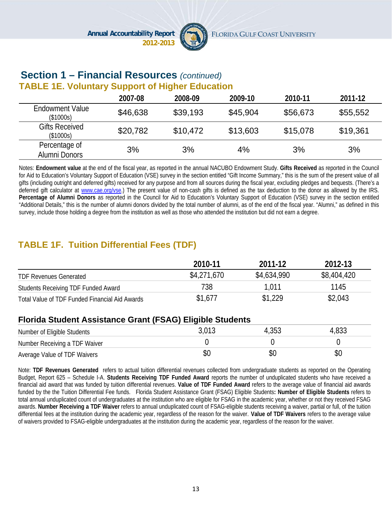

#### **Section 1 – Financial Resources** *(continued)* **TABLE 1E. Voluntary Support of Higher Education**

|                                     | 2007-08  | 2008-09  | 2009-10  | 2010-11  | 2011-12  |
|-------------------------------------|----------|----------|----------|----------|----------|
| <b>Endowment Value</b><br>(\$1000s) | \$46,638 | \$39,193 | \$45,904 | \$56,673 | \$55,552 |
| <b>Gifts Received</b><br>(\$1000s)  | \$20,782 | \$10,472 | \$13,603 | \$15,078 | \$19,361 |
| Percentage of<br>Alumni Donors      | 3%       | 3%       | 4%       | 3%       | 3%       |

Notes: **Endowment value** at the end of the fiscal year, as reported in the annual NACUBO Endowment Study. **Gifts Received** as reported in the Council for Aid to Education's Voluntary Support of Education (VSE) survey in the section entitled "Gift Income Summary," this is the sum of the present value of all gifts (including outright and deferred gifts) received for any purpose and from all sources during the fiscal year, excluding pledges and bequests. (There's a deferred gift calculator at www.cae.org/vse.) The present value of non-cash gifts is defined as the tax deduction to the donor as allowed by the IRS. **Percentage of Alumni Donors** as reported in the Council for Aid to Education's Voluntary Support of Education (VSE) survey in the section entitled "Additional Details," this is the number of alumni donors divided by the total number of alumni, as of the end of the fiscal year. "Alumni," as defined in this survey, include those holding a degree from the institution as well as those who attended the institution but did not earn a degree.

# **TABLE 1F. Tuition Differential Fees (TDF)**

|                                                | 2010-11     | 2011-12     | 2012-13     |
|------------------------------------------------|-------------|-------------|-------------|
| <b>TDF Revenues Generated</b>                  | \$4,271,670 | \$4,634,990 | \$8,404,420 |
| Students Receiving TDF Funded Award            | 738         | 1.011       | 1145        |
| Total Value of TDF Funded Financial Aid Awards | \$1,677     | \$1,229     | \$2,043     |

#### **Florida Student Assistance Grant (FSAG) Eligible Students**

| Number of Eligible Students   | 4,353 | 4,833 |
|-------------------------------|-------|-------|
| Number Receiving a TDF Waiver |       |       |
| Average Value of TDF Waivers  |       |       |

Note: **TDF Revenues Generated** refers to actual tuition differential revenues collected from undergraduate students as reported on the Operating Budget, Report 625 – Schedule I-A. **Students Receiving TDF Funded Award** reports the number of unduplicated students who have received a financial aid award that was funded by tuition differential revenues. **Value of TDF Funded Award** refers to the average value of financial aid awards funded by the the Tuition Differential Fee funds. Florida Student Assistance Grant (FSAG) Eligible Students**: Number of Eligible Students** refers to total annual unduplicated count of undergraduates at the institution who are eligible for FSAG in the academic year, whether or not they received FSAG awards. **Number Receiving a TDF Waiver** refers to annual unduplicated count of FSAG-eligible students receiving a waiver, partial or full, of the tuition differential fees at the institution during the academic year, regardless of the reason for the waiver. **Value of TDF Waivers** refers to the average value of waivers provided to FSAG-eligible undergraduates at the institution during the academic year, regardless of the reason for the waiver.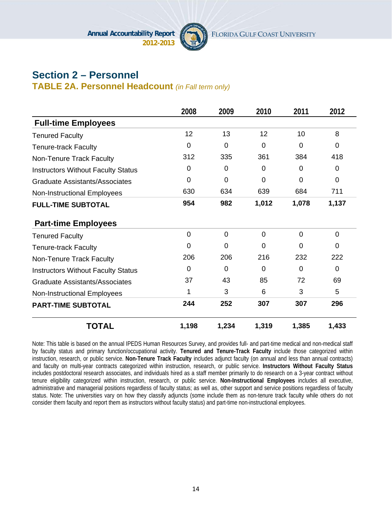

# **Section 2 – Personnel**

**TABLE 2A. Personnel Headcount** *(in Fall term only)*

|                                           | 2008           | 2009           | 2010            | 2011     | 2012     |
|-------------------------------------------|----------------|----------------|-----------------|----------|----------|
| <b>Full-time Employees</b>                |                |                |                 |          |          |
| <b>Tenured Faculty</b>                    | 12             | 13             | 12 <sub>2</sub> | 10       | 8        |
| <b>Tenure-track Faculty</b>               | 0              | 0              | 0               | $\Omega$ | 0        |
| Non-Tenure Track Faculty                  | 312            | 335            | 361             | 384      | 418      |
| <b>Instructors Without Faculty Status</b> | 0              | 0              | 0               | $\Omega$ | $\Omega$ |
| <b>Graduate Assistants/Associates</b>     | $\overline{0}$ | $\overline{0}$ | $\Omega$        | $\Omega$ | 0        |
| <b>Non-Instructional Employees</b>        | 630            | 634            | 639             | 684      | 711      |
| <b>FULL-TIME SUBTOTAL</b>                 | 954            | 982            | 1,012           | 1,078    | 1,137    |
| <b>Part-time Employees</b>                |                |                |                 |          |          |
| <b>Tenured Faculty</b>                    | $\overline{0}$ | $\overline{0}$ | $\overline{0}$  | $\Omega$ | 0        |
| <b>Tenure-track Faculty</b>               | 0              | $\overline{0}$ | $\Omega$        | $\Omega$ | $\Omega$ |
| Non-Tenure Track Faculty                  | 206            | 206            | 216             | 232      | 222      |
| <b>Instructors Without Faculty Status</b> | 0              | 0              | 0               | $\Omega$ | $\Omega$ |
| <b>Graduate Assistants/Associates</b>     | 37             | 43             | 85              | 72       | 69       |
| Non-Instructional Employees               | 1              | 3              | 6               | 3        | 5        |
| <b>PART-TIME SUBTOTAL</b>                 | 244            | 252            | 307             | 307      | 296      |
| <b>TOTAL</b>                              | 1,198          | 1,234          | 1,319           | 1,385    | 1,433    |

Note: This table is based on the annual IPEDS Human Resources Survey, and provides full- and part-time medical and non-medical staff by faculty status and primary function/occupational activity. **Tenured and Tenure-Track Faculty** include those categorized within instruction, research, or public service. **Non-Tenure Track Faculty** includes adjunct faculty (on annual and less than annual contracts) and faculty on multi-year contracts categorized within instruction, research, or public service. **Instructors Without Faculty Status** includes postdoctoral research associates, and individuals hired as a staff member primarily to do research on a 3-year contract without tenure eligibility categorized within instruction, research, or public service. **Non-Instructional Employees** includes all executive, administrative and managerial positions regardless of faculty status; as well as, other support and service positions regardless of faculty status. Note: The universities vary on how they classify adjuncts (some include them as non-tenure track faculty while others do not consider them faculty and report them as instructors without faculty status) and part-time non-instructional employees.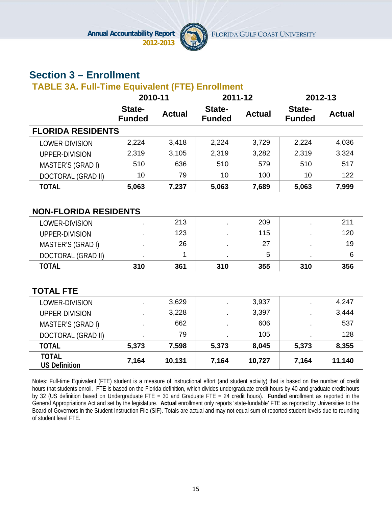

# **Section 3 – Enrollment**

### **TABLE 3A. Full-Time Equivalent (FTE) Enrollment**

|                                      | 2010-11                 |               | 2011-12                 |               | 2012-13                 |               |
|--------------------------------------|-------------------------|---------------|-------------------------|---------------|-------------------------|---------------|
|                                      | State-<br><b>Funded</b> | <b>Actual</b> | State-<br><b>Funded</b> | <b>Actual</b> | State-<br><b>Funded</b> | <b>Actual</b> |
| <b>FLORIDA RESIDENTS</b>             |                         |               |                         |               |                         |               |
| LOWER-DIVISION                       | 2,224                   | 3,418         | 2,224                   | 3,729         | 2,224                   | 4,036         |
| UPPER-DIVISION                       | 2,319                   | 3,105         | 2,319                   | 3,282         | 2,319                   | 3,324         |
| MASTER'S (GRAD I)                    | 510                     | 636           | 510                     | 579           | 510                     | 517           |
| DOCTORAL (GRAD II)                   | 10                      | 79            | 10                      | 100           | 10                      | 122           |
| <b>TOTAL</b>                         | 5,063                   | 7,237         | 5,063                   | 7,689         | 5,063                   | 7,999         |
|                                      |                         |               |                         |               |                         |               |
| <b>NON-FLORIDA RESIDENTS</b>         |                         |               |                         |               |                         |               |
| LOWER-DIVISION                       |                         | 213           |                         | 209           |                         | 211           |
| UPPER-DIVISION                       |                         | 123           |                         | 115           |                         | 120           |
| MASTER'S (GRAD I)                    |                         | 26            |                         | 27            |                         | 19            |
| <b>DOCTORAL (GRAD II)</b>            |                         | 1             |                         | 5             |                         | 6             |
| <b>TOTAL</b>                         | 310                     | 361           | 310                     | 355           | 310                     | 356           |
|                                      |                         |               |                         |               |                         |               |
| <b>TOTAL FTE</b>                     |                         |               |                         |               |                         |               |
| LOWER-DIVISION                       |                         | 3,629         |                         | 3,937         |                         | 4,247         |
| UPPER-DIVISION                       |                         | 3,228         |                         | 3,397         |                         | 3,444         |
| MASTER'S (GRAD I)                    |                         | 662           |                         | 606           |                         | 537           |
| <b>DOCTORAL (GRAD II)</b>            |                         | 79            |                         | 105           |                         | 128           |
| <b>TOTAL</b>                         | 5,373                   | 7,598         | 5,373                   | 8,045         | 5,373                   | 8,355         |
| <b>TOTAL</b><br><b>US Definition</b> | 7,164                   | 10,131        | 7,164                   | 10,727        | 7,164                   | 11,140        |

Notes: Full-time Equivalent (FTE) student is a measure of instructional effort (and student activity) that is based on the number of credit hours that students enroll. FTE is based on the Florida definition, which divides undergraduate credit hours by 40 and graduate credit hours by 32 (US definition based on Undergraduate FTE = 30 and Graduate FTE = 24 credit hours). **Funded** enrollment as reported in the General Appropriations Act and set by the legislature. **Actual** enrollment only reports 'state-fundable' FTE as reported by Universities to the Board of Governors in the Student Instruction File (SIF). Totals are actual and may not equal sum of reported student levels due to rounding of student level FTE.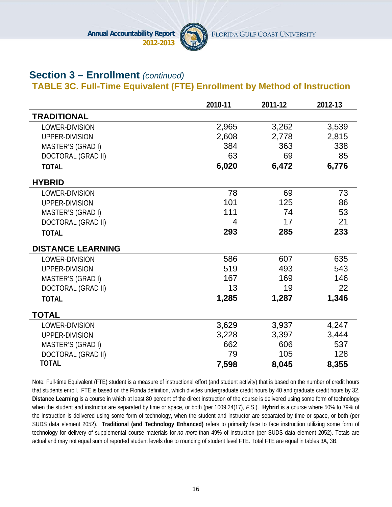

### **Section 3 – Enrollment** *(continued)*

#### **TABLE 3C. Full-Time Equivalent (FTE) Enrollment by Method of Instruction**

|                           | 2010-11 | 2011-12 | 2012-13 |
|---------------------------|---------|---------|---------|
| <b>TRADITIONAL</b>        |         |         |         |
| LOWER-DIVISION            | 2,965   | 3,262   | 3,539   |
| UPPER-DIVISION            | 2,608   | 2,778   | 2,815   |
| MASTER'S (GRAD I)         | 384     | 363     | 338     |
| DOCTORAL (GRAD II)        | 63      | 69      | 85      |
| <b>TOTAL</b>              | 6,020   | 6,472   | 6,776   |
| <b>HYBRID</b>             |         |         |         |
| LOWER-DIVISION            | 78      | 69      | 73      |
| UPPER-DIVISION            | 101     | 125     | 86      |
| MASTER'S (GRAD I)         | 111     | 74      | 53      |
| <b>DOCTORAL (GRAD II)</b> | 4       | 17      | 21      |
| <b>TOTAL</b>              | 293     | 285     | 233     |
| <b>DISTANCE LEARNING</b>  |         |         |         |
| LOWER-DIVISION            | 586     | 607     | 635     |
| UPPER-DIVISION            | 519     | 493     | 543     |
| MASTER'S (GRAD I)         | 167     | 169     | 146     |
| DOCTORAL (GRAD II)        | 13      | 19      | 22      |
| <b>TOTAL</b>              | 1,285   | 1,287   | 1,346   |
| <b>TOTAL</b>              |         |         |         |
| LOWER-DIVISION            | 3,629   | 3,937   | 4,247   |
| UPPER-DIVISION            | 3,228   | 3,397   | 3,444   |
| MASTER'S (GRAD I)         | 662     | 606     | 537     |
| <b>DOCTORAL (GRAD II)</b> | 79      | 105     | 128     |
| <b>TOTAL</b>              | 7,598   | 8,045   | 8,355   |

Note: Full-time Equivalent (FTE) student is a measure of instructional effort (and student activity) that is based on the number of credit hours that students enroll. FTE is based on the Florida definition, which divides undergraduate credit hours by 40 and graduate credit hours by 32. **Distance Learning** is a course in which at least 80 percent of the direct instruction of the course is delivered using some form of technology when the student and instructor are separated by time or space, or both (per 1009.24(17), *F.S.*). **Hybrid** is a course where 50% to 79% of the instruction is delivered using some form of technology, when the student and instructor are separated by time or space, or both (per SUDS data element 2052). **Traditional (and Technology Enhanced)** refers to primarily face to face instruction utilizing some form of technology for delivery of supplemental course materials for *no more* than 49% of instruction (per SUDS data element 2052). Totals are actual and may not equal sum of reported student levels due to rounding of student level FTE. Total FTE are equal in tables 3A, 3B.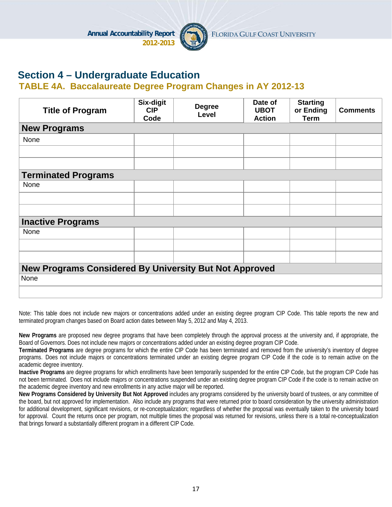

# **Section 4 – Undergraduate Education**

#### **TABLE 4A. Baccalaureate Degree Program Changes in AY 2012-13**

| <b>Title of Program</b>                                       | Six-digit<br><b>CIP</b><br>Code | <b>Degree</b><br>Level | Date of<br><b>UBOT</b><br><b>Action</b> | <b>Starting</b><br>or Ending<br><b>Term</b> | <b>Comments</b> |
|---------------------------------------------------------------|---------------------------------|------------------------|-----------------------------------------|---------------------------------------------|-----------------|
| <b>New Programs</b>                                           |                                 |                        |                                         |                                             |                 |
| None                                                          |                                 |                        |                                         |                                             |                 |
|                                                               |                                 |                        |                                         |                                             |                 |
|                                                               |                                 |                        |                                         |                                             |                 |
| <b>Terminated Programs</b>                                    |                                 |                        |                                         |                                             |                 |
| None                                                          |                                 |                        |                                         |                                             |                 |
|                                                               |                                 |                        |                                         |                                             |                 |
|                                                               |                                 |                        |                                         |                                             |                 |
| <b>Inactive Programs</b>                                      |                                 |                        |                                         |                                             |                 |
| None                                                          |                                 |                        |                                         |                                             |                 |
|                                                               |                                 |                        |                                         |                                             |                 |
|                                                               |                                 |                        |                                         |                                             |                 |
| <b>New Programs Considered By University But Not Approved</b> |                                 |                        |                                         |                                             |                 |
| None                                                          |                                 |                        |                                         |                                             |                 |
|                                                               |                                 |                        |                                         |                                             |                 |

Note: This table does not include new majors or concentrations added under an existing degree program CIP Code. This table reports the new and terminated program changes based on Board action dates between May 5, 2012 and May 4, 2013.

**New Programs** are proposed new degree programs that have been completely through the approval process at the university and, if appropriate, the Board of Governors. Does not include new majors or concentrations added under an existing degree program CIP Code.

**Terminated Programs** are degree programs for which the entire CIP Code has been terminated and removed from the university's inventory of degree programs. Does not include majors or concentrations terminated under an existing degree program CIP Code if the code is to remain active on the academic degree inventory.

**Inactive Programs** are degree programs for which enrollments have been temporarily suspended for the entire CIP Code, but the program CIP Code has not been terminated. Does not include majors or concentrations suspended under an existing degree program CIP Code if the code is to remain active on the academic degree inventory and new enrollments in any active major will be reported.

**New Programs Considered by University But Not Approved** includes any programs considered by the university board of trustees, or any committee of the board, but not approved for implementation. Also include any programs that were returned prior to board consideration by the university administration for additional development, significant revisions, or re-conceptualization; regardless of whether the proposal was eventually taken to the university board for approval. Count the returns once per program, not multiple times the proposal was returned for revisions, unless there is a total re-conceptualization that brings forward a substantially different program in a different CIP Code.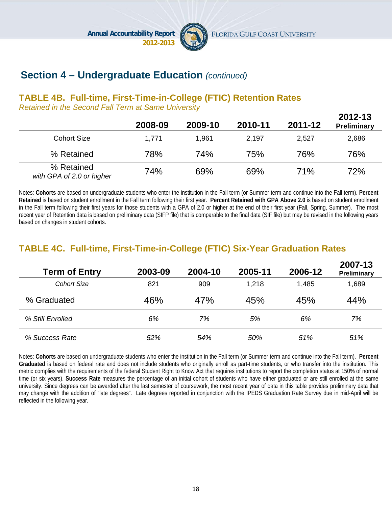

## **Section 4 – Undergraduate Education** *(continued)*

#### **TABLE 4B. Full-time, First-Time-in-College (FTIC) Retention Rates**

*Retained in the Second Fall Term at Same University*

|                                         | 2008-09 | 2009-10 | 2010-11 | 2011-12 | 2012-13<br><b>Preliminary</b> |
|-----------------------------------------|---------|---------|---------|---------|-------------------------------|
| <b>Cohort Size</b>                      | 1,771   | 1,961   | 2,197   | 2,527   | 2,686                         |
| % Retained                              | 78%     | 74%     | 75%     | 76%     | 76%                           |
| % Retained<br>with GPA of 2.0 or higher | 74%     | 69%     | 69%     | 71%     | 72%                           |

Notes: **Cohorts** are based on undergraduate students who enter the institution in the Fall term (or Summer term and continue into the Fall term). **Percent Retained** is based on student enrollment in the Fall term following their first year. **Percent Retained with GPA Above 2.0** is based on student enrollment in the Fall term following their first years for those students with a GPA of 2.0 or higher at the end of their first year (Fall, Spring, Summer). The most recent year of Retention data is based on preliminary data (SIFP file) that is comparable to the final data (SIF file) but may be revised in the following years based on changes in student cohorts.

### **TABLE 4C. Full-time, First-Time-in-College (FTIC) Six-Year Graduation Rates**

| <b>Term of Entry</b> | 2003-09 | 2004-10 | 2005-11 | 2006-12 | 2007-13<br>Preliminary |
|----------------------|---------|---------|---------|---------|------------------------|
| <b>Cohort Size</b>   | 821     | 909     | 1,218   | 1,485   | 1,689                  |
| % Graduated          | 46%     | 47%     | 45%     | 45%     | 44%                    |
| % Still Enrolled     | 6%      | 7%      | 5%      | 6%      | 7%                     |
| % Success Rate       | 52%     | 54%     | 50%     | 51%     | 51%                    |

Notes: **Cohorts** are based on undergraduate students who enter the institution in the Fall term (or Summer term and continue into the Fall term). **Percent Graduated** is based on federal rate and does not include students who originally enroll as part-time students, or who transfer into the institution. This metric complies with the requirements of the federal Student Right to Know Act that requires institutions to report the completion status at 150% of normal time (or six years). **Success Rate** measures the percentage of an initial cohort of students who have either graduated or are still enrolled at the same university. Since degrees can be awarded after the last semester of coursework, the most recent year of data in this table provides preliminary data that may change with the addition of "late degrees". Late degrees reported in conjunction with the IPEDS Graduation Rate Survey due in mid-April will be reflected in the following year.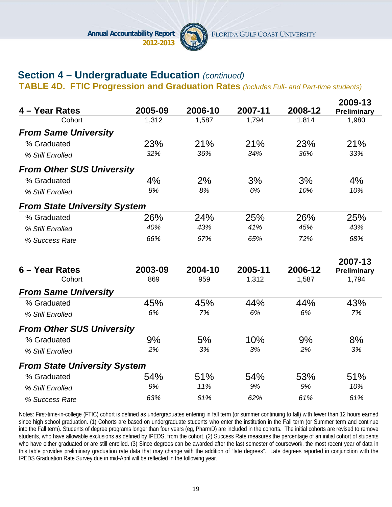

# **Section 4 – Undergraduate Education** *(continued)*

**TABLE 4D. FTIC Progression and Graduation Rates** *(includes Full- and Part-time students)*

| 4 – Year Rates                      | 2005-09 | 2006-10 | 2007-11 | 2008-12 | 2009-13<br>Preliminary |
|-------------------------------------|---------|---------|---------|---------|------------------------|
| Cohort                              | 1,312   | 1,587   | 1,794   | 1,814   | 1,980                  |
| <b>From Same University</b>         |         |         |         |         |                        |
| % Graduated                         | 23%     | 21%     | 21%     | 23%     | 21%                    |
| % Still Enrolled                    | 32%     | 36%     | 34%     | 36%     | 33%                    |
| <b>From Other SUS University</b>    |         |         |         |         |                        |
| % Graduated                         | 4%      | 2%      | 3%      | 3%      | 4%                     |
| % Still Enrolled                    | 8%      | 8%      | 6%      | 10%     | 10%                    |
| <b>From State University System</b> |         |         |         |         |                        |
| % Graduated                         | 26%     | 24%     | 25%     | 26%     | 25%                    |
| % Still Enrolled                    | 40%     | 43%     | 41%     | 45%     | 43%                    |
| % Success Rate                      | 66%     | 67%     | 65%     | 72%     | 68%                    |
|                                     |         |         |         |         | 2007-13                |
| 6 – Year Rates                      | 2003-09 | 2004-10 | 2005-11 | 2006-12 | Preliminary            |
| Cohort                              | 869     | 959     | 1,312   | 1,587   | 1,794                  |
| <b>From Same University</b>         |         |         |         |         |                        |
| % Graduated                         | 45%     | 45%     | 44%     | 44%     | 43%                    |
| % Still Enrolled                    | 6%      | 7%      | 6%      | 6%      | 7%                     |
| <b>From Other SUS University</b>    |         |         |         |         |                        |
| % Graduated                         | 9%      | 5%      | 10%     | 9%      | 8%                     |
| % Still Enrolled                    | 2%      | 3%      | 3%      | 2%      | 3%                     |
| <b>From State University System</b> |         |         |         |         |                        |
| % Graduated                         | 54%     | 51%     | 54%     | 53%     | 51%                    |
| % Still Enrolled                    | 9%      | 11%     | 9%      | 9%      | 10%                    |
| % Success Rate                      | 63%     | 61%     | 62%     | 61%     | 61%                    |

Notes: First-time-in-college (FTIC) cohort is defined as undergraduates entering in fall term (or summer continuing to fall) with fewer than 12 hours earned since high school graduation. (1) Cohorts are based on undergraduate students who enter the institution in the Fall term (or Summer term and continue into the Fall term). Students of degree programs longer than four years (eg, PharmD) are included in the cohorts. The initial cohorts are revised to remove students, who have allowable exclusions as defined by IPEDS, from the cohort. (2) Success Rate measures the percentage of an initial cohort of students who have either graduated or are still enrolled. (3) Since degrees can be awarded after the last semester of coursework, the most recent year of data in this table provides preliminary graduation rate data that may change with the addition of "late degrees". Late degrees reported in conjunction with the IPEDS Graduation Rate Survey due in mid-April will be reflected in the following year.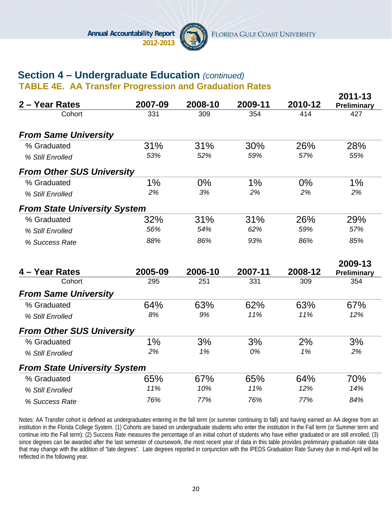

**2011-13** 

# **Section 4 – Undergraduate Education** *(continued)*

**TABLE 4E. AA Transfer Progression and Graduation Rates**

| 2 – Year Rates                      | 2007-09 | 2008-10 | 2009-11 | 2010-12 | ZU I I I J<br>Preliminary |
|-------------------------------------|---------|---------|---------|---------|---------------------------|
| Cohort                              | 331     | 309     | 354     | 414     | 427                       |
| <b>From Same University</b>         |         |         |         |         |                           |
| % Graduated                         | 31%     | 31%     | 30%     | 26%     | 28%                       |
| % Still Enrolled                    | 53%     | 52%     | 59%     | 57%     | 55%                       |
| <b>From Other SUS University</b>    |         |         |         |         |                           |
| % Graduated                         | 1%      | $0\%$   | 1%      | 0%      | $1\%$                     |
| % Still Enrolled                    | 2%      | 3%      | 2%      | 2%      | 2%                        |
| <b>From State University System</b> |         |         |         |         |                           |
| % Graduated                         | 32%     | 31%     | 31%     | 26%     | 29%                       |
| % Still Enrolled                    | 56%     | 54%     | 62%     | 59%     | 57%                       |
| % Success Rate                      | 88%     | 86%     | 93%     | 86%     | 85%                       |
|                                     |         |         |         |         | 2009-13                   |
| 4 – Year Rates                      | 2005-09 | 2006-10 | 2007-11 | 2008-12 | Preliminary               |
| Cohort                              | 295     | 251     | 331     | 309     | 354                       |
| <b>From Same University</b>         |         |         |         |         |                           |
| % Graduated                         | 64%     | 63%     | 62%     | 63%     | 67%                       |
| % Still Enrolled                    | 8%      | 9%      | 11%     | 11%     | 12%                       |
| <b>From Other SUS University</b>    |         |         |         |         |                           |
| % Graduated                         | 1%      | 3%      | 3%      | 2%      | 3%                        |
| % Still Enrolled                    | 2%      | 1%      | 0%      | 1%      | 2%                        |
| <b>From State University System</b> |         |         |         |         |                           |
| % Graduated                         | 65%     | 67%     | 65%     | 64%     | 70%                       |
| % Still Enrolled                    | 11%     | 10%     | 11%     | 12%     | 14%                       |
| % Success Rate                      | 76%     | 77%     | 76%     | 77%     | 84%                       |

Notes: AA Transfer cohort is defined as undergraduates entering in the fall term (or summer continuing to fall) and having earned an AA degree from an institution in the Florida College System. (1) Cohorts are based on undergraduate students who enter the institution in the Fall term (or Summer term and continue into the Fall term); (2) Success Rate measures the percentage of an initial cohort of students who have either graduated or are still enrolled; (3) since degrees can be awarded after the last semester of coursework, the most recent year of data in this table provides preliminary graduation rate data that may change with the addition of "late degrees". Late degrees reported in conjunction with the IPEDS Graduation Rate Survey due in mid-April will be reflected in the following year.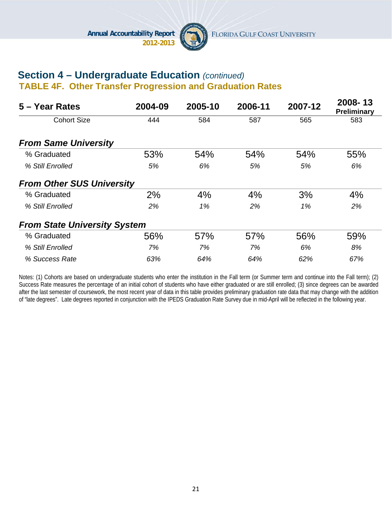

#### **Section 4 – Undergraduate Education** *(continued)*  **TABLE 4F. Other Transfer Progression and Graduation Rates**

| 5 – Year Rates                      | 2004-09 | 2005-10 | 2006-11 | 2007-12 | 2008-13<br>Preliminary |
|-------------------------------------|---------|---------|---------|---------|------------------------|
| <b>Cohort Size</b>                  | 444     | 584     | 587     | 565     | 583                    |
| <b>From Same University</b>         |         |         |         |         |                        |
| % Graduated                         | 53%     | 54%     | 54%     | 54%     | 55%                    |
| % Still Enrolled                    | 5%      | 6%      | 5%      | 5%      | 6%                     |
| <b>From Other SUS University</b>    |         |         |         |         |                        |
| % Graduated                         | 2%      | 4%      | 4%      | 3%      | 4%                     |
| % Still Enrolled                    | 2%      | 1%      | 2%      | 1%      | 2%                     |
| <b>From State University System</b> |         |         |         |         |                        |
| % Graduated                         | 56%     | 57%     | 57%     | 56%     | 59%                    |
| % Still Enrolled                    | 7%      | 7%      | 7%      | 6%      | 8%                     |
| % Success Rate                      | 63%     | 64%     | 64%     | 62%     | 67%                    |

Notes: (1) Cohorts are based on undergraduate students who enter the institution in the Fall term (or Summer term and continue into the Fall term); (2) Success Rate measures the percentage of an initial cohort of students who have either graduated or are still enrolled; (3) since degrees can be awarded after the last semester of coursework, the most recent year of data in this table provides preliminary graduation rate data that may change with the addition of "late degrees". Late degrees reported in conjunction with the IPEDS Graduation Rate Survey due in mid-April will be reflected in the following year.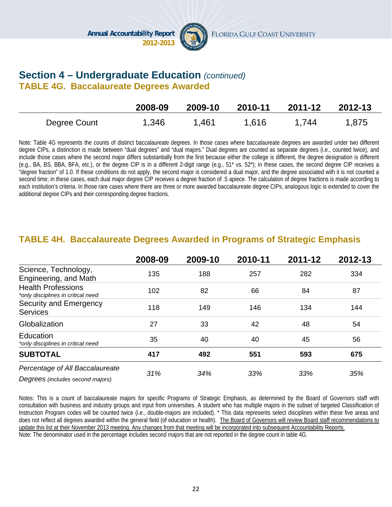

#### **Section 4 – Undergraduate Education** *(continued)* **TABLE 4G. Baccalaureate Degrees Awarded**

|              | 2008-09 | 2009-10 | 2010-11 | 2011-12 | 2012-13 |
|--------------|---------|---------|---------|---------|---------|
| Degree Count | 1,346   | 1,461   | 1,616   | 1.744   | 1,875   |

Note: Table 4G represents the counts of distinct baccalaureate degrees. In those cases where baccalaureate degrees are awarded under two different degree CIPs, a distinction is made between "dual degrees" and "dual majors." Dual degrees are counted as separate degrees (i.e., counted twice), and include those cases where the second major differs substantially from the first because either the college is different, the degree designation is different (e.g., BA, BS, BBA, BFA, etc.), or the degree CIP is in a different 2-digit range (e.g., 51\* vs. 52\*); in these cases, the second degree CIP receives a "degree fraction" of 1.0. If these conditions do not apply, the second major is considered a dual major, and the degree associated with it is not counted a second time; in these cases, each dual major degree CIP receives a degree fraction of .5 apiece. The calculation of degree fractions is made according to each institution's criteria. In those rare cases where there are three or more awarded baccalaureate degree CIPs, analogous logic is extended to cover the additional degree CIPs and their corresponding degree fractions.

|                                                                     | 2008-09 | 2009-10 | 2010-11 | 2011-12 | 2012-13 |
|---------------------------------------------------------------------|---------|---------|---------|---------|---------|
| Science, Technology,<br>Engineering, and Math                       | 135     | 188     | 257     | 282     | 334     |
| <b>Health Professions</b><br>*only disciplines in critical need     | 102     | 82      | 66      | 84      | 87      |
| Security and Emergency<br><b>Services</b>                           | 118     | 149     | 146     | 134     | 144     |
| Globalization                                                       | 27      | 33      | 42      | 48      | 54      |
| Education<br>*only disciplines in critical need                     | 35      | 40      | 40      | 45      | 56      |
| <b>SUBTOTAL</b>                                                     | 417     | 492     | 551     | 593     | 675     |
| Percentage of All Baccalaureate<br>Degrees (includes second majors) | 31%     | 34%     | 33%     | 33%     | 35%     |

#### **TABLE 4H. Baccalaureate Degrees Awarded in Programs of Strategic Emphasis**

Notes: This is a count of baccalaureate majors for specific Programs of Strategic Emphasis, as determined by the Board of Governors staff with consultation with business and industry groups and input from universities. A student who has multiple majors in the subset of targeted Classification of Instruction Program codes will be counted twice (i.e., double-majors are included). \* This data represents select disciplines within these five areas and does not reflect all degrees awarded within the general field (of education or health). The Board of Governors will review Board staff recommendations to update this list at their November 2013 meeting. Any changes from that meeting will be incorporated into subsequent Accountability Reports. Note: The denominator used in the percentage includes second majors that are not reported in the degree count in table 4G.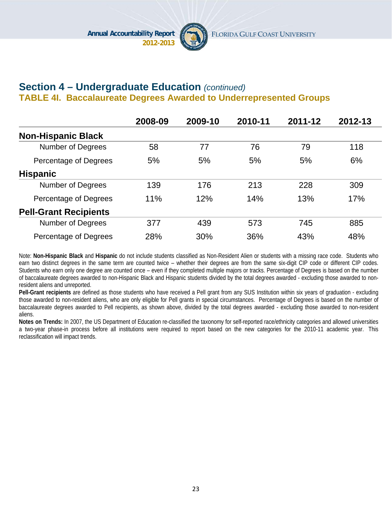

### **Section 4 – Undergraduate Education** *(continued)* **TABLE 4I. Baccalaureate Degrees Awarded to Underrepresented Groups**

|                              | 2008-09 | 2009-10 | 2010-11 | 2011-12 | 2012-13 |
|------------------------------|---------|---------|---------|---------|---------|
| <b>Non-Hispanic Black</b>    |         |         |         |         |         |
| Number of Degrees            | 58      | 77      | 76      | 79      | 118     |
| Percentage of Degrees        | 5%      | 5%      | 5%      | 5%      | 6%      |
| <b>Hispanic</b>              |         |         |         |         |         |
| Number of Degrees            | 139     | 176     | 213     | 228     | 309     |
| Percentage of Degrees        | 11%     | 12%     | 14%     | 13%     | 17%     |
| <b>Pell-Grant Recipients</b> |         |         |         |         |         |
| <b>Number of Degrees</b>     | 377     | 439     | 573     | 745     | 885     |
| Percentage of Degrees        | 28%     | 30%     | 36%     | 43%     | 48%     |

Note: **Non-Hispanic Black** and **Hispanic** do not include students classified as Non-Resident Alien or students with a missing race code. Students who earn two distinct degrees in the same term are counted twice – whether their degrees are from the same six-digit CIP code or different CIP codes. Students who earn only one degree are counted once – even if they completed multiple majors or tracks. Percentage of Degrees is based on the number of baccalaureate degrees awarded to non-Hispanic Black and Hispanic students divided by the total degrees awarded - excluding those awarded to nonresident aliens and unreported.

**Pell-Grant recipients** are defined as those students who have received a Pell grant from any SUS Institution within six years of graduation - excluding those awarded to non-resident aliens, who are only eligible for Pell grants in special circumstances. Percentage of Degrees is based on the number of baccalaureate degrees awarded to Pell recipients, as shown above, divided by the total degrees awarded - excluding those awarded to non-resident aliens.

**Notes on Trends:** In 2007, the US Department of Education re-classified the taxonomy for self-reported race/ethnicity categories and allowed universities a two-year phase-in process before all institutions were required to report based on the new categories for the 2010-11 academic year. This reclassification will impact trends.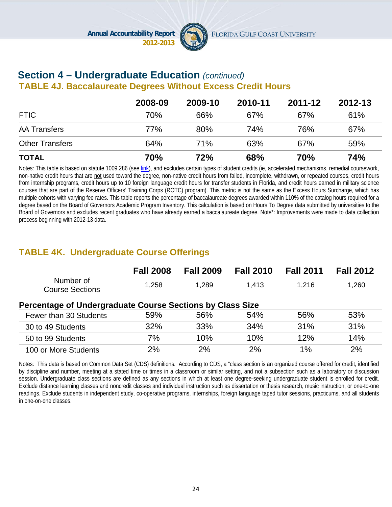

#### **Section 4 – Undergraduate Education** *(continued)*  **TABLE 4J. Baccalaureate Degrees Without Excess Credit Hours**

|                        | 2008-09 | 2009-10    | 2010-11    | 2011-12    | 2012-13 |
|------------------------|---------|------------|------------|------------|---------|
| <b>FTIC</b>            | 70%     | 66%        | 67%        | 67%        | 61%     |
| <b>AA Transfers</b>    | 77%     | 80%        | 74%        | 76%        | 67%     |
| <b>Other Transfers</b> | 64%     | <b>71%</b> | 63%        | 67%        | 59%     |
| <b>TOTAL</b>           | 70%     | 72%        | <b>68%</b> | <b>70%</b> | 74%     |

Notes: This table is based on statute 1009.286 (see link), and excludes certain types of student credits (ie, accelerated mechanisms, remedial coursework, non-native credit hours that are not used toward the degree, non-native credit hours from failed, incomplete, withdrawn, or repeated courses, credit hours from internship programs, credit hours up to 10 foreign language credit hours for transfer students in Florida, and credit hours earned in military science courses that are part of the Reserve Officers' Training Corps (ROTC) program). This metric is not the same as the Excess Hours Surcharge, which has multiple cohorts with varying fee rates. This table reports the percentage of baccalaureate degrees awarded within 110% of the catalog hours required for a degree based on the Board of Governors Academic Program Inventory. This calculation is based on Hours To Degree data submitted by universities to the Board of Governors and excludes recent graduates who have already earned a baccalaureate degree. Note\*: Improvements were made to data collection process beginning with 2012-13 data.

# **TABLE 4K. Undergraduate Course Offerings**

|                                                           | <b>Fall 2008</b> | <b>Fall 2009</b> | <b>Fall 2010</b> | <b>Fall 2011</b> | <b>Fall 2012</b> |  |  |  |
|-----------------------------------------------------------|------------------|------------------|------------------|------------------|------------------|--|--|--|
| Number of<br><b>Course Sections</b>                       | 1,258            | 1,289            | 1,413            | 1,216            | 1,260            |  |  |  |
| Percentage of Undergraduate Course Sections by Class Size |                  |                  |                  |                  |                  |  |  |  |
| Fewer than 30 Students                                    | 59%              | 56%              | 54%              | 56%              | 53%              |  |  |  |
| 30 to 49 Students                                         | 32%              | 33%              | 34%              | 31%              | 31%              |  |  |  |
| 50 to 99 Students                                         | 7%               | 10%              | 10%              | 12%              | 14%              |  |  |  |
| 100 or More Students                                      | 2%               | 2%               | 2%               | $1\%$            | 2%               |  |  |  |

Notes: This data is based on Common Data Set (CDS) definitions. According to CDS, a "class section is an organized course offered for credit, identified by discipline and number, meeting at a stated time or times in a classroom or similar setting, and not a subsection such as a laboratory or discussion session. Undergraduate class sections are defined as any sections in which at least one degree-seeking undergraduate student is enrolled for credit. Exclude distance learning classes and noncredit classes and individual instruction such as dissertation or thesis research, music instruction, or one-to-one readings. Exclude students in independent study, co-operative programs, internships, foreign language taped tutor sessions, practicums, and all students in one-on-one classes.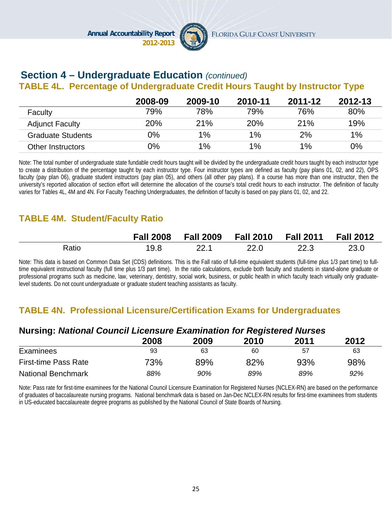

# **Section 4 – Undergraduate Education** *(continued)*

### **TABLE 4L. Percentage of Undergraduate Credit Hours Taught by Instructor Type**

|                          | 2008-09 | 2009-10 | 2010-11    | 2011-12 | 2012-13 |
|--------------------------|---------|---------|------------|---------|---------|
| Faculty                  | 79%     | 78%     | 79%        | 76%     | 80%     |
| <b>Adjunct Faculty</b>   | 20%     | 21%     | <b>20%</b> | 21%     | 19%     |
| <b>Graduate Students</b> | 0%      | $1\%$   | $1\%$      | 2%      | 1%      |
| <b>Other Instructors</b> | 0%      | 1%      | $1\%$      | $1\%$   | 0%      |

Note: The total number of undergraduate state fundable credit hours taught will be divided by the undergraduate credit hours taught by each instructor type to create a distribution of the percentage taught by each instructor type. Four instructor types are defined as faculty (pay plans 01, 02, and 22), OPS faculty (pay plan 06), graduate student instructors (pay plan 05), and others (all other pay plans). If a course has more than one instructor, then the university's reported allocation of section effort will determine the allocation of the course's total credit hours to each instructor. The definition of faculty varies for Tables 4L, 4M and 4N. For Faculty Teaching Undergraduates, the definition of faculty is based on pay plans 01, 02, and 22.

# **TABLE 4M. Student/Faculty Ratio**

|       |      | Fall 2008   Fall 2009   Fall 2010   Fall 2011 |        |      | <b>Fall 2012</b> |
|-------|------|-----------------------------------------------|--------|------|------------------|
| Ratio | 19.8 |                                               | - 22.0 | 22.3 | 23.0             |

Note: This data is based on Common Data Set (CDS) definitions. This is the Fall ratio of full-time equivalent students (full-time plus 1/3 part time) to fulltime equivalent instructional faculty (full time plus 1/3 part time). In the ratio calculations, exclude both faculty and students in stand-alone graduate or professional programs such as medicine, law, veterinary, dentistry, social work, business, or public health in which faculty teach virtually only graduatelevel students. Do not count undergraduate or graduate student teaching assistants as faculty.

### **TABLE 4N. Professional Licensure/Certification Exams for Undergraduates**

#### **Nursing:** *National Council Licensure Examination for Registered Nurses* **2008 2009 2010 2011 2012**  Examinees 63 63 63 60 57 63 First-time Pass Rate 73% 89% 82% 93% 98% National Benchmark *88% 90% 89% 89% 92%*

Note: Pass rate for first-time examinees for the National Council Licensure Examination for Registered Nurses (NCLEX-RN) are based on the performance of graduates of baccalaureate nursing programs. National benchmark data is based on Jan-Dec NCLEX-RN results for first-time examinees from students in US-educated baccalaureate degree programs as published by the National Council of State Boards of Nursing.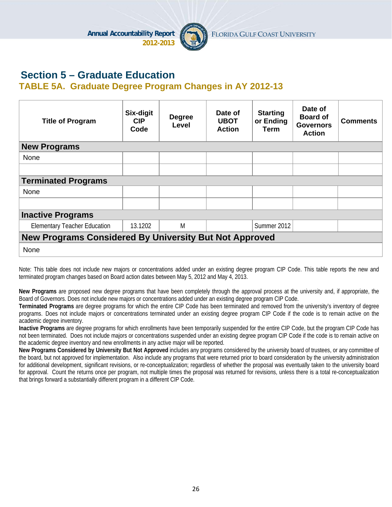

# **Section 5 – Graduate Education**

#### **TABLE 5A. Graduate Degree Program Changes in AY 2012-13**

| <b>Title of Program</b>                                       | Six-digit<br><b>CIP</b><br>Code | <b>Degree</b><br>Level | Date of<br><b>UBOT</b><br><b>Action</b> | <b>Starting</b><br>or Ending<br>Term | Date of<br><b>Board of</b><br><b>Governors</b><br><b>Action</b> | <b>Comments</b> |  |
|---------------------------------------------------------------|---------------------------------|------------------------|-----------------------------------------|--------------------------------------|-----------------------------------------------------------------|-----------------|--|
| <b>New Programs</b>                                           |                                 |                        |                                         |                                      |                                                                 |                 |  |
| None                                                          |                                 |                        |                                         |                                      |                                                                 |                 |  |
|                                                               |                                 |                        |                                         |                                      |                                                                 |                 |  |
| <b>Terminated Programs</b>                                    |                                 |                        |                                         |                                      |                                                                 |                 |  |
| None                                                          |                                 |                        |                                         |                                      |                                                                 |                 |  |
|                                                               |                                 |                        |                                         |                                      |                                                                 |                 |  |
| <b>Inactive Programs</b>                                      |                                 |                        |                                         |                                      |                                                                 |                 |  |
| <b>Elementary Teacher Education</b>                           | 13.1202                         | M                      |                                         | Summer 2012                          |                                                                 |                 |  |
| <b>New Programs Considered By University But Not Approved</b> |                                 |                        |                                         |                                      |                                                                 |                 |  |
| None                                                          |                                 |                        |                                         |                                      |                                                                 |                 |  |

Note: This table does not include new majors or concentrations added under an existing degree program CIP Code. This table reports the new and terminated program changes based on Board action dates between May 5, 2012 and May 4, 2013.

**New Programs** are proposed new degree programs that have been completely through the approval process at the university and, if appropriate, the Board of Governors. Does not include new majors or concentrations added under an existing degree program CIP Code.

**Terminated Programs** are degree programs for which the entire CIP Code has been terminated and removed from the university's inventory of degree programs. Does not include majors or concentrations terminated under an existing degree program CIP Code if the code is to remain active on the academic degree inventory.

**Inactive Programs** are degree programs for which enrollments have been temporarily suspended for the entire CIP Code, but the program CIP Code has not been terminated. Does not include majors or concentrations suspended under an existing degree program CIP Code if the code is to remain active on the academic degree inventory and new enrollments in any active major will be reported.

**New Programs Considered by University But Not Approved** includes any programs considered by the university board of trustees, or any committee of the board, but not approved for implementation. Also include any programs that were returned prior to board consideration by the university administration for additional development, significant revisions, or re-conceptualization; regardless of whether the proposal was eventually taken to the university board for approval. Count the returns once per program, not multiple times the proposal was returned for revisions, unless there is a total re-conceptualization that brings forward a substantially different program in a different CIP Code.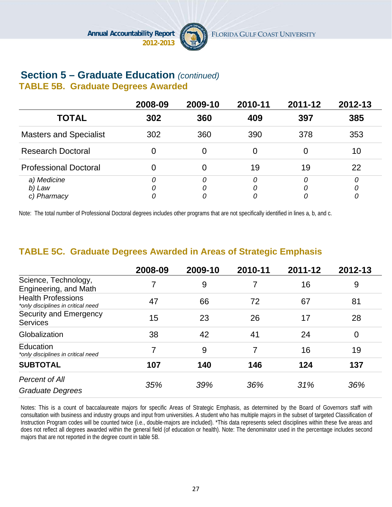

#### **Section 5 – Graduate Education** *(continued)*  **TABLE 5B. Graduate Degrees Awarded**

|                                      | 2008-09 | 2009-10     | 2010-11     | 2011-12 | 2012-13 |
|--------------------------------------|---------|-------------|-------------|---------|---------|
| <b>TOTAL</b>                         | 302     | 360         | 409         | 397     | 385     |
| <b>Masters and Specialist</b>        | 302     | 360         | 390         | 378     | 353     |
| <b>Research Doctoral</b>             |         |             | 0           |         | 10      |
| <b>Professional Doctoral</b>         |         |             | 19          | 19      | 22      |
| a) Medicine<br>b) Law<br>c) Pharmacy | 0       | 0<br>0<br>0 | 0<br>0<br>0 | O       | 0       |

Note: The total number of Professional Doctoral degrees includes other programs that are not specifically identified in lines a, b, and c.

### **TABLE 5C. Graduate Degrees Awarded in Areas of Strategic Emphasis**

|                                                                 | 2008-09 | 2009-10 | 2010-11 | 2011-12 | 2012-13        |
|-----------------------------------------------------------------|---------|---------|---------|---------|----------------|
| Science, Technology,<br>Engineering, and Math                   |         | 9       |         | 16      | 9              |
| <b>Health Professions</b><br>*only disciplines in critical need | 47      | 66      | 72      | 67      | 81             |
| <b>Security and Emergency</b><br><b>Services</b>                | 15      | 23      | 26      | 17      | 28             |
| Globalization                                                   | 38      | 42      | 41      | 24      | $\overline{0}$ |
| Education<br>*only disciplines in critical need                 | 7       | 9       | 7       | 16      | 19             |
| <b>SUBTOTAL</b>                                                 | 107     | 140     | 146     | 124     | 137            |
| Percent of All<br><b>Graduate Degrees</b>                       | 35%     | 39%     | 36%     | 31%     | 36%            |

Notes: This is a count of baccalaureate majors for specific Areas of Strategic Emphasis, as determined by the Board of Governors staff with consultation with business and industry groups and input from universities. A student who has multiple majors in the subset of targeted Classification of Instruction Program codes will be counted twice (i.e., double-majors are included). \*This data represents select disciplines within these five areas and does not reflect all degrees awarded within the general field (of education or health). Note: The denominator used in the percentage includes second majors that are not reported in the degree count in table 5B.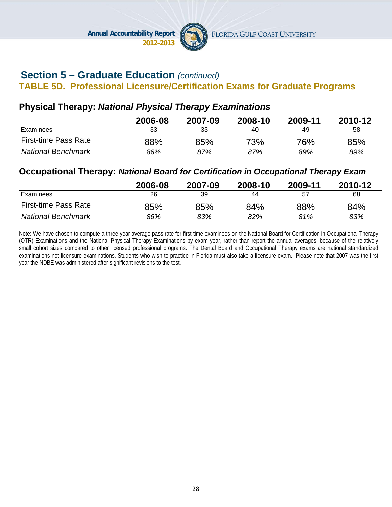

# **Section 5 – Graduate Education** *(continued)*

#### **TABLE 5D. Professional Licensure/Certification Exams for Graduate Programs**

#### **Physical Therapy:** *National Physical Therapy Examinations*

|                             | 2006-08 | 2007-09 | 2008-10 | 2009-11 | 2010-12 |
|-----------------------------|---------|---------|---------|---------|---------|
| Examinees                   | 33      | 33      | 40      | 49      | 58      |
| <b>First-time Pass Rate</b> | 88%     | 85%     | 73%     | 76%     | 85%     |
| <b>National Benchmark</b>   | 86%     | 87%     | 87%     | 89%     | 89%     |

#### **Occupational Therapy:** *National Board for Certification in Occupational Therapy Exam*

|                             | 2006-08 | 2007-09 | 2008-10 | 2009-11 | 2010-12 |
|-----------------------------|---------|---------|---------|---------|---------|
| Examinees                   | 26      | 39      | 44      | 57      | 68      |
| <b>First-time Pass Rate</b> | 85%     | 85%     | 84%     | 88%     | 84%     |
| <b>National Benchmark</b>   | 86%     | 83%     | 82%     | 81%     | 83%     |

Note: We have chosen to compute a three-year average pass rate for first-time examinees on the National Board for Certification in Occupational Therapy (OTR) Examinations and the National Physical Therapy Examinations by exam year, rather than report the annual averages, because of the relatively small cohort sizes compared to other licensed professional programs. The Dental Board and Occupational Therapy exams are national standardized examinations not licensure examinations. Students who wish to practice in Florida must also take a licensure exam. Please note that 2007 was the first year the NDBE was administered after significant revisions to the test.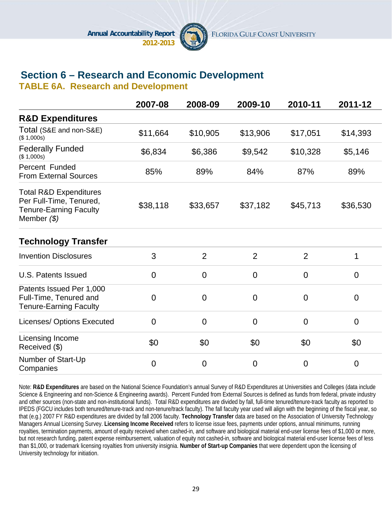

# **Section 6 – Research and Economic Development**

**TABLE 6A. Research and Development**

|                                                                                                                | 2007-08  | 2008-09        | 2009-10        | 2010-11        | 2011-12        |
|----------------------------------------------------------------------------------------------------------------|----------|----------------|----------------|----------------|----------------|
| <b>R&amp;D Expenditures</b>                                                                                    |          |                |                |                |                |
| Total (S&E and non-S&E)<br>(\$1,000s)                                                                          | \$11,664 | \$10,905       | \$13,906       | \$17,051       | \$14,393       |
| <b>Federally Funded</b><br>(\$1,000s)                                                                          | \$6,834  | \$6,386        | \$9,542        | \$10,328       | \$5,146        |
| Percent Funded<br><b>From External Sources</b>                                                                 | 85%      | 89%            | 84%            | 87%            | 89%            |
| <b>Total R&amp;D Expenditures</b><br>Per Full-Time, Tenured,<br><b>Tenure-Earning Faculty</b><br>Member $(\$)$ | \$38,118 | \$33,657       | \$37,182       | \$45,713       | \$36,530       |
| <b>Technology Transfer</b>                                                                                     |          |                |                |                |                |
| <b>Invention Disclosures</b>                                                                                   | 3        | $\overline{2}$ | 2              | $\overline{2}$ | 1              |
| U.S. Patents Issued                                                                                            | $\Omega$ | $\overline{0}$ | $\overline{0}$ | $\overline{0}$ | $\overline{0}$ |
| Patents Issued Per 1,000<br>Full-Time, Tenured and<br><b>Tenure-Earning Faculty</b>                            | $\Omega$ | $\overline{0}$ | $\overline{0}$ | $\overline{0}$ | $\overline{0}$ |
| <b>Licenses/ Options Executed</b>                                                                              | $\Omega$ | $\overline{0}$ | $\overline{0}$ | $\overline{0}$ | $\overline{0}$ |
| Licensing Income<br>Received (\$)                                                                              | \$0      | \$0            | \$0            | \$0            | \$0            |
| Number of Start-Up<br>Companies                                                                                | $\Omega$ | $\overline{0}$ | $\overline{0}$ | $\overline{0}$ | $\overline{0}$ |

Note: **R&D Expenditures** are based on the National Science Foundation's annual Survey of R&D Expenditures at Universities and Colleges (data include Science & Engineering and non-Science & Engineering awards). Percent Funded from External Sources is defined as funds from federal, private industry and other sources (non-state and non-institutional funds). Total R&D expenditures are divided by fall, full-time tenured/tenure-track faculty as reported to IPEDS (FGCU includes both tenured/tenure-track and non-tenure/track faculty). The fall faculty year used will align with the beginning of the fiscal year, so that (e.g.) 2007 FY R&D expenditures are divided by fall 2006 faculty. **Technology Transfer** data are based on the Association of University Technology Managers Annual Licensing Survey. **Licensing Income Received** refers to license issue fees, payments under options, annual minimums, running royalties, termination payments, amount of equity received when cashed-in, and software and biological material end-user license fees of \$1,000 or more, but not research funding, patent expense reimbursement, valuation of equity not cashed-in, software and biological material end-user license fees of less than \$1,000, or trademark licensing royalties from university insignia. **Number of Start-up Companies** that were dependent upon the licensing of University technology for initiation.